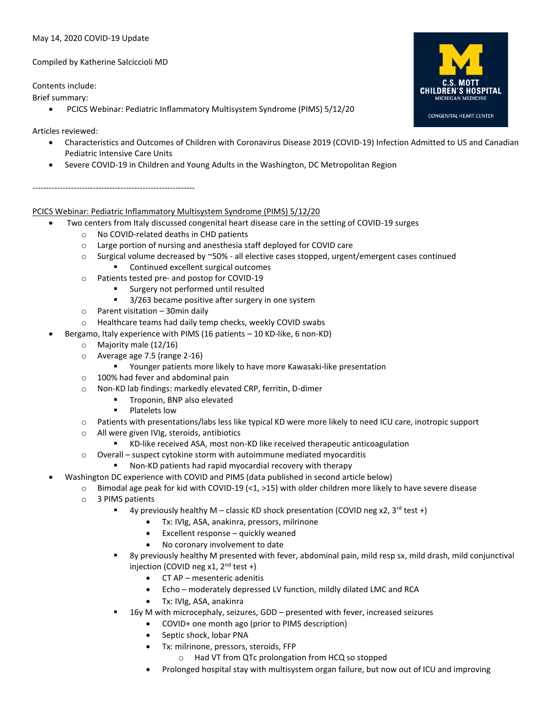## May 14, 2020 COVID-19 Update

Compiled by Katherine Salciccioli MD

Contents include:

Brief summary:

• PCICS Webinar: Pediatric Inflammatory Multisystem Syndrome (PIMS) 5/12/20

# Articles reviewed:

- Characteristics and Outcomes of Children with Coronavirus Disease 2019 (COVID-19) Infection Admitted to US and Canadian Pediatric Intensive Care Units
- Severe COVID-19 in Children and Young Adults in the Washington, DC Metropolitan Region

-----------------------------------------------------------

# PCICS Webinar: Pediatric Inflammatory Multisystem Syndrome (PIMS) 5/12/20

- Two centers from Italy discussed congenital heart disease care in the setting of COVID-19 surges
	- o No COVID-related deaths in CHD patients
	- o Large portion of nursing and anesthesia staff deployed for COVID care
	- $\circ$  Surgical volume decreased by  $\sim$ 50% all elective cases stopped, urgent/emergent cases continued Continued excellent surgical outcomes
	- o Patients tested pre- and postop for COVID-19
		- Surgery not performed until resulted
		- 3/263 became positive after surgery in one system
	- $\circ$  Parent visitation 30 min daily
	- o Healthcare teams had daily temp checks, weekly COVID swabs
- Bergamo, Italy experience with PIMS (16 patients 10 KD-like, 6 non-KD)
	- o Majority male (12/16)
	- o Average age 7.5 (range 2-16)
		- Younger patients more likely to have more Kawasaki-like presentation
	- o 100% had fever and abdominal pain
	- o Non-KD lab findings: markedly elevated CRP, ferritin, D-dimer
		- **■** Troponin, BNP also elevated
		- Platelets low
	- o Patients with presentations/labs less like typical KD were more likely to need ICU care, inotropic support
	- o All were given IVIg, steroids, antibiotics
		- KD-like received ASA, most non-KD like received therapeutic anticoagulation
	- o Overall suspect cytokine storm with autoimmune mediated myocarditis
		- Non-KD patients had rapid myocardial recovery with therapy
- Washington DC experience with COVID and PIMS (data published in second article below)
	- $\circ$  Bimodal age peak for kid with COVID-19 (<1, >15) with older children more likely to have severe disease
		- o 3 PIMS patients
			- **■** 4y previously healthy M classic KD shock presentation (COVID neg x2,  $3^{rd}$  test +)
				- Tx: IVIg, ASA, anakinra, pressors, milrinone
				- Excellent response quickly weaned
				- No coronary involvement to date
			- 8y previously healthy M presented with fever, abdominal pain, mild resp sx, mild drash, mild conjunctival injection (COVID neg x1,  $2^{nd}$  test +)
				- CT AP mesenteric adenitis
				- Echo moderately depressed LV function, mildly dilated LMC and RCA
				- Tx: IVIg, ASA, anakinra
				- 16y M with microcephaly, seizures, GDD presented with fever, increased seizures
					- COVID+ one month ago (prior to PIMS description)
					- Septic shock, lobar PNA
					- Tx: milrinone, pressors, steroids, FFP
						- o Had VT from QTc prolongation from HCQ so stopped
					- Prolonged hospital stay with multisystem organ failure, but now out of ICU and improving

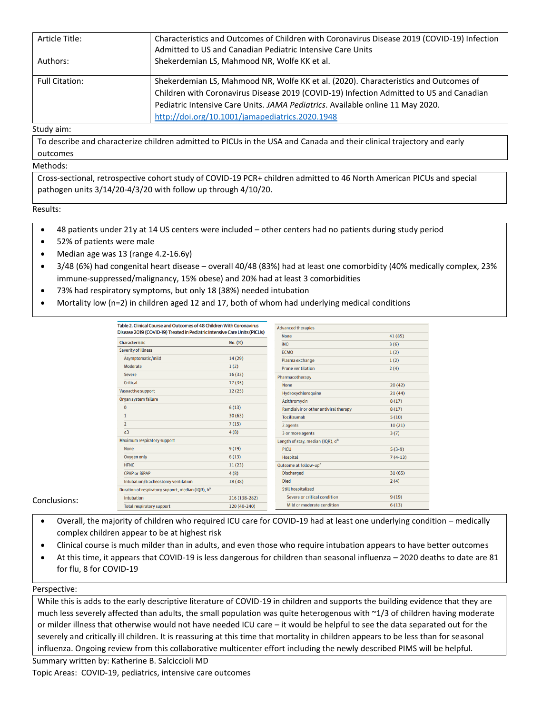| Article Title:        | Characteristics and Outcomes of Children with Coronavirus Disease 2019 (COVID-19) Infection                                                                                                                                                                                                                          |
|-----------------------|----------------------------------------------------------------------------------------------------------------------------------------------------------------------------------------------------------------------------------------------------------------------------------------------------------------------|
|                       | Admitted to US and Canadian Pediatric Intensive Care Units                                                                                                                                                                                                                                                           |
| Authors:              | Shekerdemian LS, Mahmood NR, Wolfe KK et al.                                                                                                                                                                                                                                                                         |
| <b>Full Citation:</b> | Shekerdemian LS, Mahmood NR, Wolfe KK et al. (2020). Characteristics and Outcomes of<br>Children with Coronavirus Disease 2019 (COVID-19) Infection Admitted to US and Canadian<br>Pediatric Intensive Care Units. JAMA Pediatrics. Available online 11 May 2020.<br>http://doi.org/10.1001/jamapediatrics.2020.1948 |

#### Study aim:

To describe and characterize children admitted to PICUs in the USA and Canada and their clinical trajectory and early outcomes

# Methods:

Cross-sectional, retrospective cohort study of COVID-19 PCR+ children admitted to 46 North American PICUs and special pathogen units 3/14/20-4/3/20 with follow up through 4/10/20.

## Results:

- 48 patients under 21y at 14 US centers were included other centers had no patients during study period
- 52% of patients were male
- Median age was 13 (range 4.2-16.6y)
- 3/48 (6%) had congenital heart disease overall 40/48 (83%) had at least one comorbidity (40% medically complex, 23% immune-suppressed/malignancy, 15% obese) and 20% had at least 3 comorbidities
- 73% had respiratory symptoms, but only 18 (38%) needed intubation
- Mortality low (n=2) in children aged 12 and 17, both of whom had underlying medical conditions

| Table 2. Clinical Course and Outcomes of 48 Children With Coronavirus<br>Disease 2019 (COVID-19) Treated in Pediatric Intensive Care Units (PICUs) |               | <b>Advanced therapies</b>                    |           |
|----------------------------------------------------------------------------------------------------------------------------------------------------|---------------|----------------------------------------------|-----------|
|                                                                                                                                                    |               | <b>None</b>                                  | 41 (85)   |
| Characteristic                                                                                                                                     | No. (%)       | <b>iNO</b>                                   | 3(6)      |
| <b>Severity of illness</b>                                                                                                                         |               | <b>ECMO</b>                                  | 1(2)      |
| Asymptomatic/mild                                                                                                                                  | 14(29)        | Plasma exchange                              | 1(2)      |
| Moderate                                                                                                                                           | 1(2)          | <b>Prone ventilation</b>                     | 2(4)      |
| <b>Severe</b>                                                                                                                                      | 16(33)        | Pharmacotherapy                              |           |
| Critical                                                                                                                                           | 17(35)        | <b>None</b>                                  | 20(42)    |
| Vasoactive support                                                                                                                                 | 12(25)        | Hydroxychloroquine                           | 21(44)    |
| Organ system failure                                                                                                                               |               | <b>Azithromycin</b>                          | 8(17)     |
| $\mathbf{0}$                                                                                                                                       | 6(13)         | Remdisivir or other antiviral therapy        | 8(17)     |
| $\mathbf{1}$                                                                                                                                       | 30(63)        | Tocilizumab                                  | 5(10)     |
| $\overline{2}$                                                                                                                                     | 7(15)         | 2 agents                                     | 10(21)    |
| $\geq$ 3                                                                                                                                           | 4(8)          | 3 or more agents                             | 3(7)      |
| Maximum respiratory support                                                                                                                        |               | Length of stay, median (IQR), d <sup>b</sup> |           |
| <b>None</b>                                                                                                                                        | 9(19)         | <b>PICU</b>                                  | $5(3-9)$  |
| Oxygen only                                                                                                                                        | 6(13)         | <b>Hospital</b>                              | $7(4-13)$ |
| <b>HFNC</b>                                                                                                                                        | 11(23)        | Outcome at follow-up <sup>c</sup>            |           |
| <b>CPAP or BiPAP</b>                                                                                                                               | 4(8)          | <b>Discharged</b>                            | 31(65)    |
| Intubation/tracheostomy ventilation                                                                                                                | 18 (38)       | <b>Died</b>                                  | 2(4)      |
| Duration of respiratory support, median (IQR), h <sup>a</sup>                                                                                      |               | <b>Still hospitalized</b>                    |           |
| Intubation                                                                                                                                         | 216 (138-282) | Severe or critical condition                 | 9(19)     |
| <b>Total respiratory support</b>                                                                                                                   | 120 (40-240)  | Mild or moderate condition                   | 6(13)     |

## Conclusions:

- Overall, the majority of children who required ICU care for COVID-19 had at least one underlying condition medically complex children appear to be at highest risk
- Clinical course is much milder than in adults, and even those who require intubation appears to have better outcomes
- At this time, it appears that COVID-19 is less dangerous for children than seasonal influenza 2020 deaths to date are 81 for flu, 8 for COVID-19

#### Perspective:

While this is adds to the early descriptive literature of COVID-19 in children and supports the building evidence that they are much less severely affected than adults, the small population was quite heterogenous with ~1/3 of children having moderate or milder illness that otherwise would not have needed ICU care – it would be helpful to see the data separated out for the severely and critically ill children. It is reassuring at this time that mortality in children appears to be less than for seasonal influenza. Ongoing review from this collaborative multicenter effort including the newly described PIMS will be helpful.

Summary written by: Katherine B. Salciccioli MD Topic Areas: COVID-19, pediatrics, intensive care outcomes